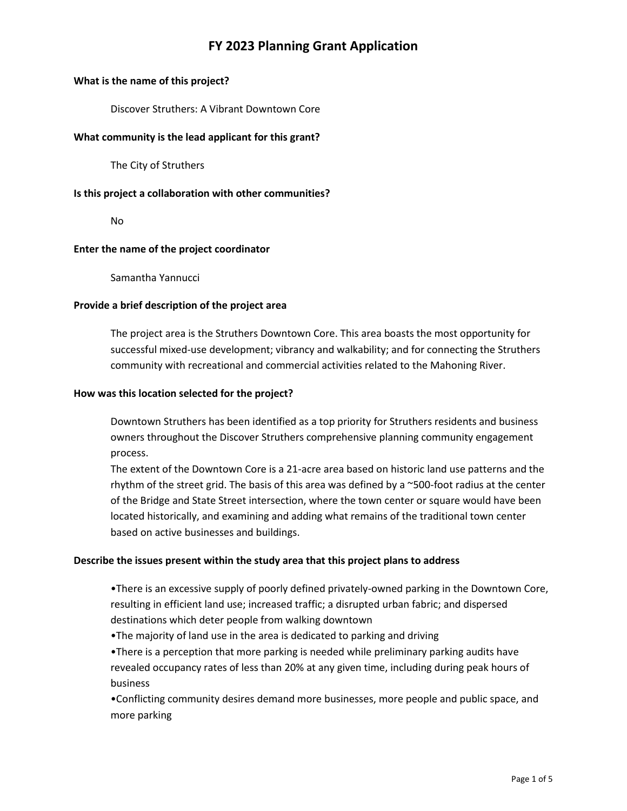# **FY 2023 Planning Grant Application**

#### **What is the name of this project?**

Discover Struthers: A Vibrant Downtown Core

#### **What community is the lead applicant for this grant?**

The City of Struthers

#### **Is this project a collaboration with other communities?**

No

#### **Enter the name of the project coordinator**

Samantha Yannucci

#### **Provide a brief description of the project area**

The project area is the Struthers Downtown Core. This area boasts the most opportunity for successful mixed-use development; vibrancy and walkability; and for connecting the Struthers community with recreational and commercial activities related to the Mahoning River.

#### **How was this location selected for the project?**

Downtown Struthers has been identified as a top priority for Struthers residents and business owners throughout the Discover Struthers comprehensive planning community engagement process.

The extent of the Downtown Core is a 21-acre area based on historic land use patterns and the rhythm of the street grid. The basis of this area was defined by a ~500-foot radius at the center of the Bridge and State Street intersection, where the town center or square would have been located historically, and examining and adding what remains of the traditional town center based on active businesses and buildings.

#### **Describe the issues present within the study area that this project plans to address**

•There is an excessive supply of poorly defined privately-owned parking in the Downtown Core, resulting in efficient land use; increased traffic; a disrupted urban fabric; and dispersed destinations which deter people from walking downtown

•The majority of land use in the area is dedicated to parking and driving

•There is a perception that more parking is needed while preliminary parking audits have revealed occupancy rates of less than 20% at any given time, including during peak hours of business

•Conflicting community desires demand more businesses, more people and public space, and more parking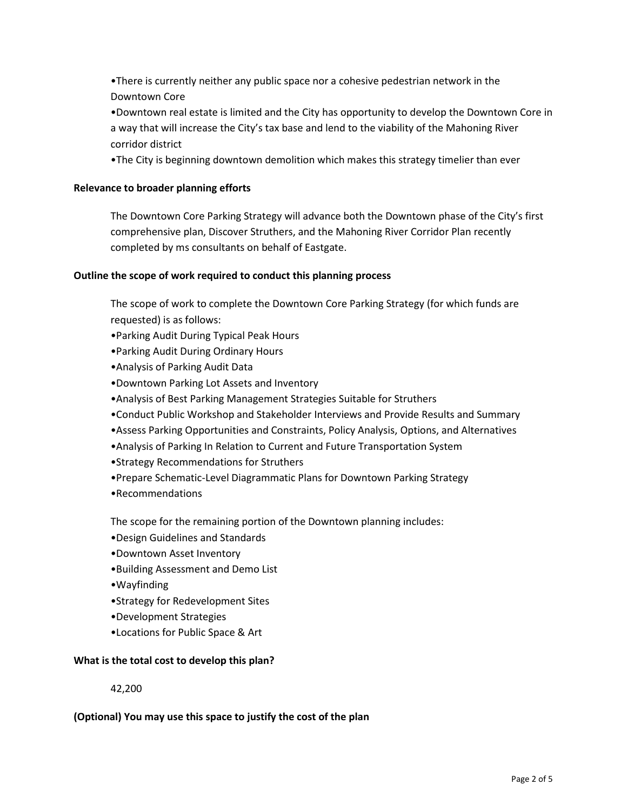•There is currently neither any public space nor a cohesive pedestrian network in the Downtown Core

•Downtown real estate is limited and the City has opportunity to develop the Downtown Core in a way that will increase the City's tax base and lend to the viability of the Mahoning River corridor district

•The City is beginning downtown demolition which makes this strategy timelier than ever

# **Relevance to broader planning efforts**

The Downtown Core Parking Strategy will advance both the Downtown phase of the City's first comprehensive plan, Discover Struthers, and the Mahoning River Corridor Plan recently completed by ms consultants on behalf of Eastgate.

# **Outline the scope of work required to conduct this planning process**

The scope of work to complete the Downtown Core Parking Strategy (for which funds are requested) is as follows:

- •Parking Audit During Typical Peak Hours
- •Parking Audit During Ordinary Hours
- •Analysis of Parking Audit Data
- •Downtown Parking Lot Assets and Inventory
- •Analysis of Best Parking Management Strategies Suitable for Struthers
- •Conduct Public Workshop and Stakeholder Interviews and Provide Results and Summary
- •Assess Parking Opportunities and Constraints, Policy Analysis, Options, and Alternatives
- •Analysis of Parking In Relation to Current and Future Transportation System
- •Strategy Recommendations for Struthers
- •Prepare Schematic-Level Diagrammatic Plans for Downtown Parking Strategy
- •Recommendations

The scope for the remaining portion of the Downtown planning includes:

- •Design Guidelines and Standards
- •Downtown Asset Inventory
- •Building Assessment and Demo List
- •Wayfinding
- •Strategy for Redevelopment Sites
- •Development Strategies
- •Locations for Public Space & Art

## **What is the total cost to develop this plan?**

42,200

## **(Optional) You may use this space to justify the cost of the plan**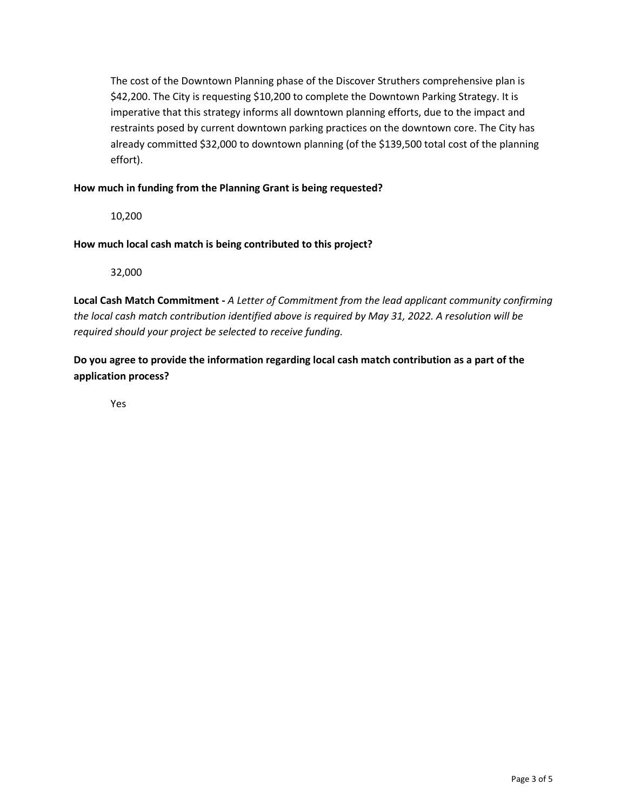The cost of the Downtown Planning phase of the Discover Struthers comprehensive plan is \$42,200. The City is requesting \$10,200 to complete the Downtown Parking Strategy. It is imperative that this strategy informs all downtown planning efforts, due to the impact and restraints posed by current downtown parking practices on the downtown core. The City has already committed \$32,000 to downtown planning (of the \$139,500 total cost of the planning effort).

# **How much in funding from the Planning Grant is being requested?**

10,200

**How much local cash match is being contributed to this project?**

32,000

**Local Cash Match Commitment -** *A Letter of Commitment from the lead applicant community confirming the local cash match contribution identified above is required by May 31, 2022. A resolution will be required should your project be selected to receive funding.*

**Do you agree to provide the information regarding local cash match contribution as a part of the application process?**

Yes